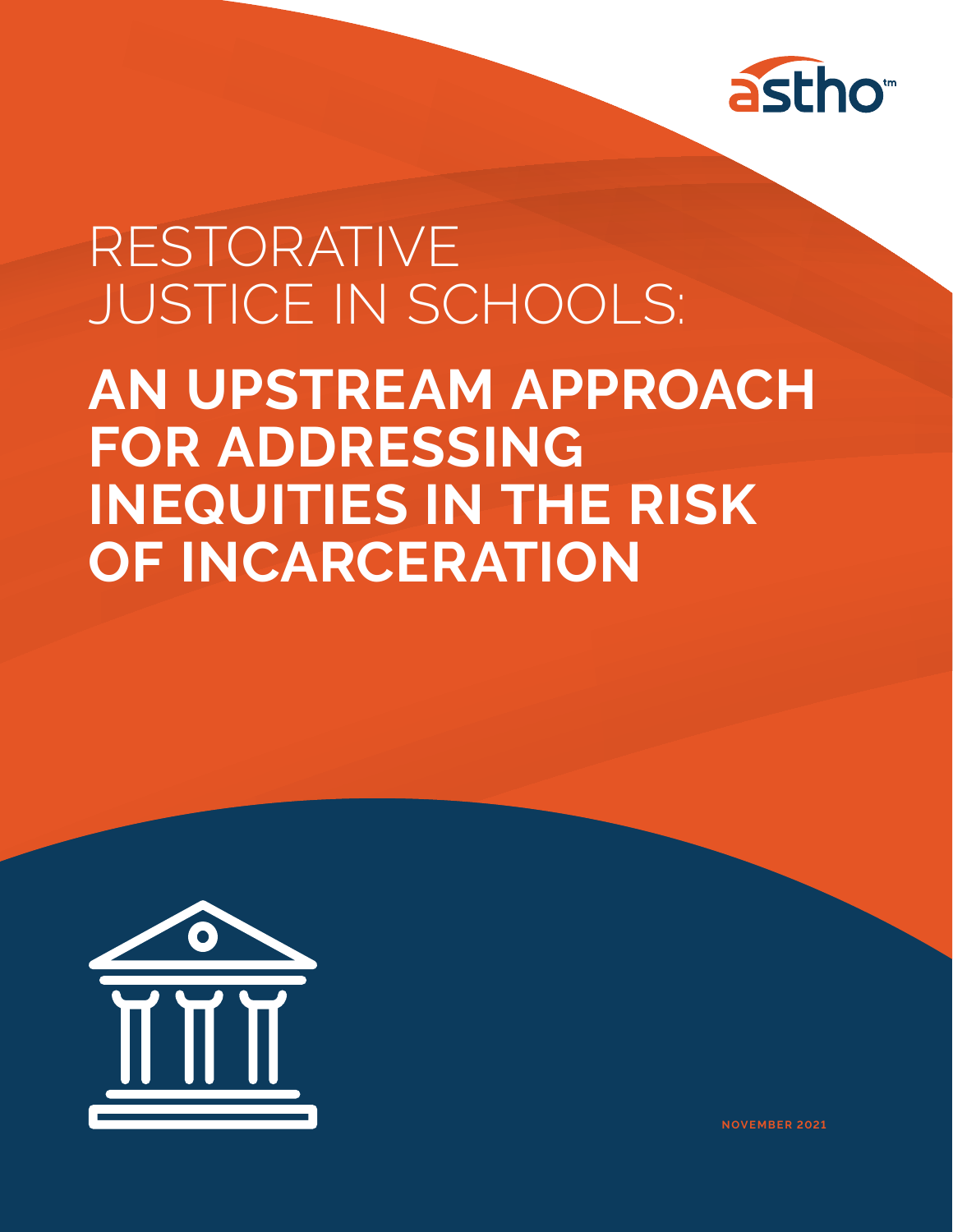

# RESTORATIVE JUSTICE IN SCHOOLS:

**AN UPSTREAM APPROACH FOR ADDRESSING INEQUITIES IN THE RISK OF INCARCERATION**



**NOVEMBER 2021**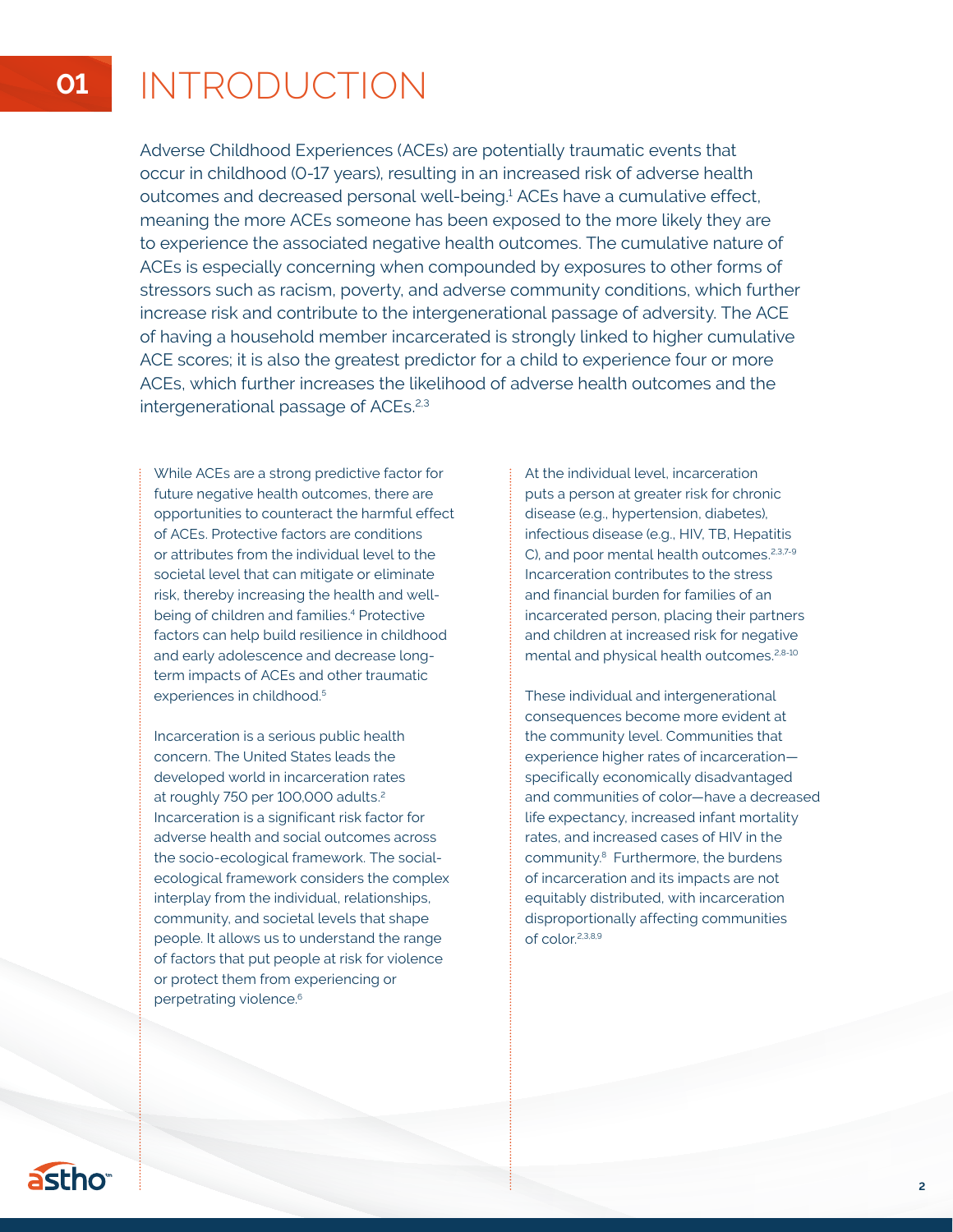## **01** INTRODUCTION

Adverse Childhood Experiences (ACEs) are potentially traumatic events that occur in childhood (0-17 years), resulting in an increased risk of adverse health outcomes and decreased personal well-being.<sup>1</sup> ACEs have a cumulative effect, meaning the more ACEs someone has been exposed to the more likely they are to experience the associated negative health outcomes. The cumulative nature of ACEs is especially concerning when compounded by exposures to other forms of stressors such as racism, poverty, and adverse community conditions, which further increase risk and contribute to the intergenerational passage of adversity. The ACE of having a household member incarcerated is strongly linked to higher cumulative ACE scores; it is also the greatest predictor for a child to experience four or more ACEs, which further increases the likelihood of adverse health outcomes and the intergenerational passage of ACEs.<sup>2,3</sup>

While ACEs are a strong predictive factor for future negative health outcomes, there are opportunities to counteract the harmful effect of ACEs. Protective factors are conditions or attributes from the individual level to the societal level that can mitigate or eliminate risk, thereby increasing the health and wellbeing of children and families.<sup>4</sup> Protective factors can help build resilience in childhood and early adolescence and decrease longterm impacts of ACEs and other traumatic experiences in childhood.<sup>5</sup>

Incarceration is a serious public health concern. The United States leads the developed world in incarceration rates at roughly 750 per 100,000 adults.2 Incarceration is a significant risk factor for adverse health and social outcomes across the socio-ecological framework. The socialecological framework considers the complex interplay from the individual, relationships, community, and societal levels that shape people. It allows us to understand the range of factors that put people at risk for violence or protect them from experiencing or perpetrating violence.<sup>6</sup>

At the individual level, incarceration puts a person at greater risk for chronic disease (e.g., hypertension, diabetes), infectious disease (e.g., HIV, TB, Hepatitis C), and poor mental health outcomes.<sup>2,3,7-9</sup> Incarceration contributes to the stress and financial burden for families of an incarcerated person, placing their partners and children at increased risk for negative mental and physical health outcomes.<sup>2,8-10</sup>

These individual and intergenerational consequences become more evident at the community level. Communities that experience higher rates of incarceration specifically economically disadvantaged and communities of color—have a decreased life expectancy, increased infant mortality rates, and increased cases of HIV in the community.8 Furthermore, the burdens of incarceration and its impacts are not equitably distributed, with incarceration disproportionally affecting communities of color.2,3,8,9

astho<sup>®</sup>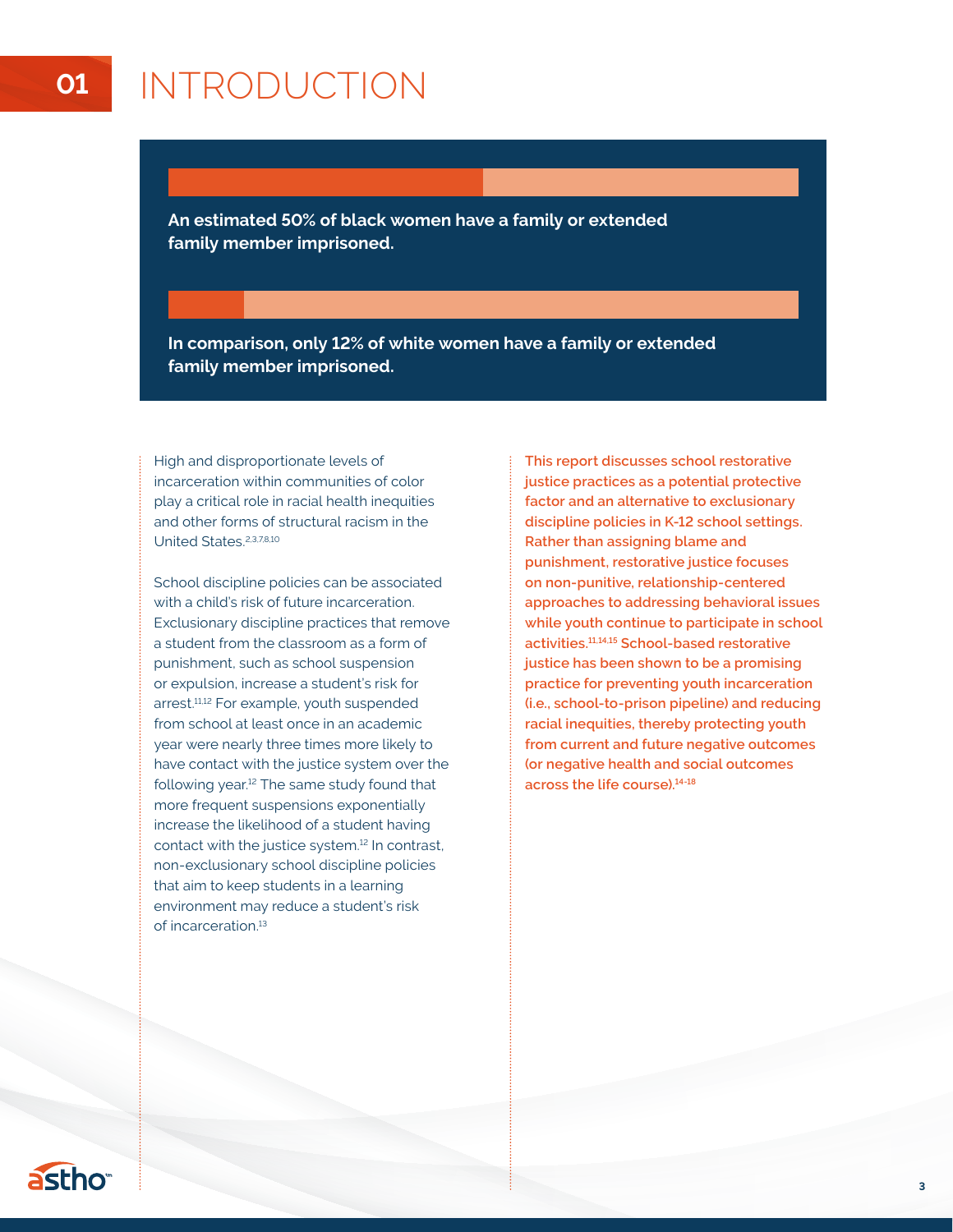## **01** INTRODUCTION

**An estimated 50% of black women have a family or extended family member imprisoned.** 

**In comparison, only 12% of white women have a family or extended family member imprisoned.**

High and disproportionate levels of incarceration within communities of color play a critical role in racial health inequities and other forms of structural racism in the United States.<sup>2,3,7,8,10</sup>

School discipline policies can be associated with a child's risk of future incarceration. Exclusionary discipline practices that remove a student from the classroom as a form of punishment, such as school suspension or expulsion, increase a student's risk for arrest.<sup>11,12</sup> For example, youth suspended from school at least once in an academic year were nearly three times more likely to have contact with the justice system over the following year.12 The same study found that more frequent suspensions exponentially increase the likelihood of a student having contact with the justice system.12 In contrast, non-exclusionary school discipline policies that aim to keep students in a learning environment may reduce a student's risk of incarceration.13

**This report discusses school restorative justice practices as a potential protective factor and an alternative to exclusionary discipline policies in K-12 school settings. Rather than assigning blame and punishment, restorative justice focuses on non-punitive, relationship-centered approaches to addressing behavioral issues while youth continue to participate in school activities.11,14,15 School-based restorative justice has been shown to be a promising practice for preventing youth incarceration (i.e., school-to-prison pipeline) and reducing racial inequities, thereby protecting youth from current and future negative outcomes (or negative health and social outcomes across the life course).14-18**

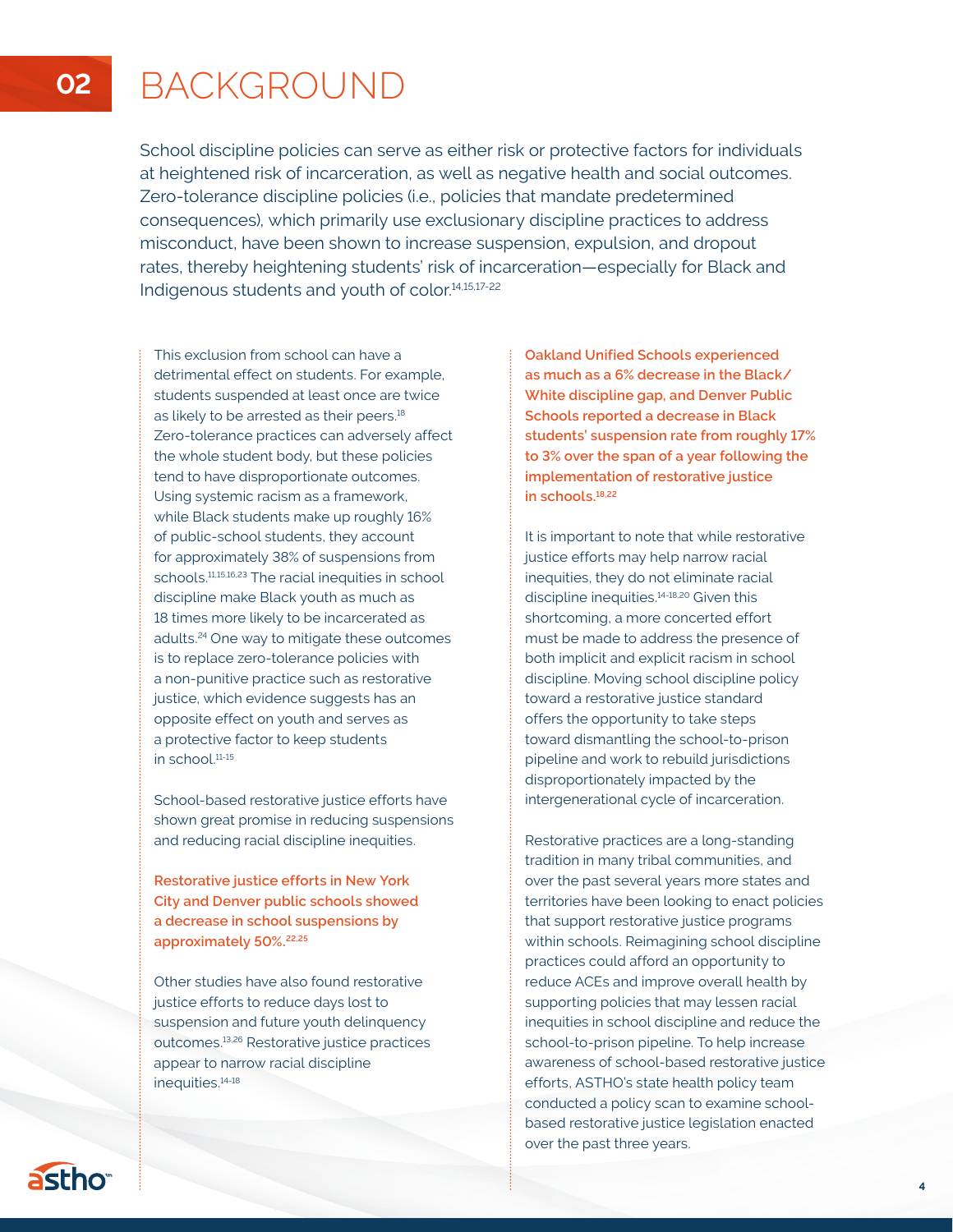## **02** BACKGROUND

School discipline policies can serve as either risk or protective factors for individuals at heightened risk of incarceration, as well as negative health and social outcomes. Zero-tolerance discipline policies (i.e., policies that mandate predetermined consequences), which primarily use exclusionary discipline practices to address misconduct, have been shown to increase suspension, expulsion, and dropout rates, thereby heightening students' risk of incarceration—especially for Black and Indigenous students and youth of color.14,15,17-22

This exclusion from school can have a detrimental effect on students. For example, students suspended at least once are twice as likely to be arrested as their peers.<sup>18</sup> Zero-tolerance practices can adversely affect the whole student body, but these policies tend to have disproportionate outcomes. Using systemic racism as a framework, while Black students make up roughly 16% of public-school students, they account for approximately 38% of suspensions from schools.11,15,16,23 The racial inequities in school discipline make Black youth as much as 18 times more likely to be incarcerated as adults.24 One way to mitigate these outcomes is to replace zero-tolerance policies with a non-punitive practice such as restorative justice, which evidence suggests has an opposite effect on youth and serves as a protective factor to keep students in school.11-15

School-based restorative justice efforts have shown great promise in reducing suspensions and reducing racial discipline inequities.

**Restorative justice efforts in New York City and Denver public schools showed a decrease in school suspensions by approximately 50%.22,25**

Other studies have also found restorative justice efforts to reduce days lost to suspension and future youth delinquency outcomes.13,26 Restorative justice practices appear to narrow racial discipline inequities.14-18

**Oakland Unified Schools experienced as much as a 6% decrease in the Black/ White discipline gap, and Denver Public Schools reported a decrease in Black students' suspension rate from roughly 17% to 3% over the span of a year following the implementation of restorative justice in schools.18,22** 

It is important to note that while restorative justice efforts may help narrow racial inequities, they do not eliminate racial discipline inequities.14-18,20 Given this shortcoming, a more concerted effort must be made to address the presence of both implicit and explicit racism in school discipline. Moving school discipline policy toward a restorative justice standard offers the opportunity to take steps toward dismantling the school-to-prison pipeline and work to rebuild jurisdictions disproportionately impacted by the intergenerational cycle of incarceration.

Restorative practices are a long-standing tradition in many tribal communities, and over the past several years more states and territories have been looking to enact policies that support restorative justice programs within schools. Reimagining school discipline practices could afford an opportunity to reduce ACEs and improve overall health by supporting policies that may lessen racial inequities in school discipline and reduce the school-to-prison pipeline. To help increase awareness of school-based restorative justice efforts, ASTHO's state health policy team conducted a policy scan to examine schoolbased restorative justice legislation enacted over the past three years.

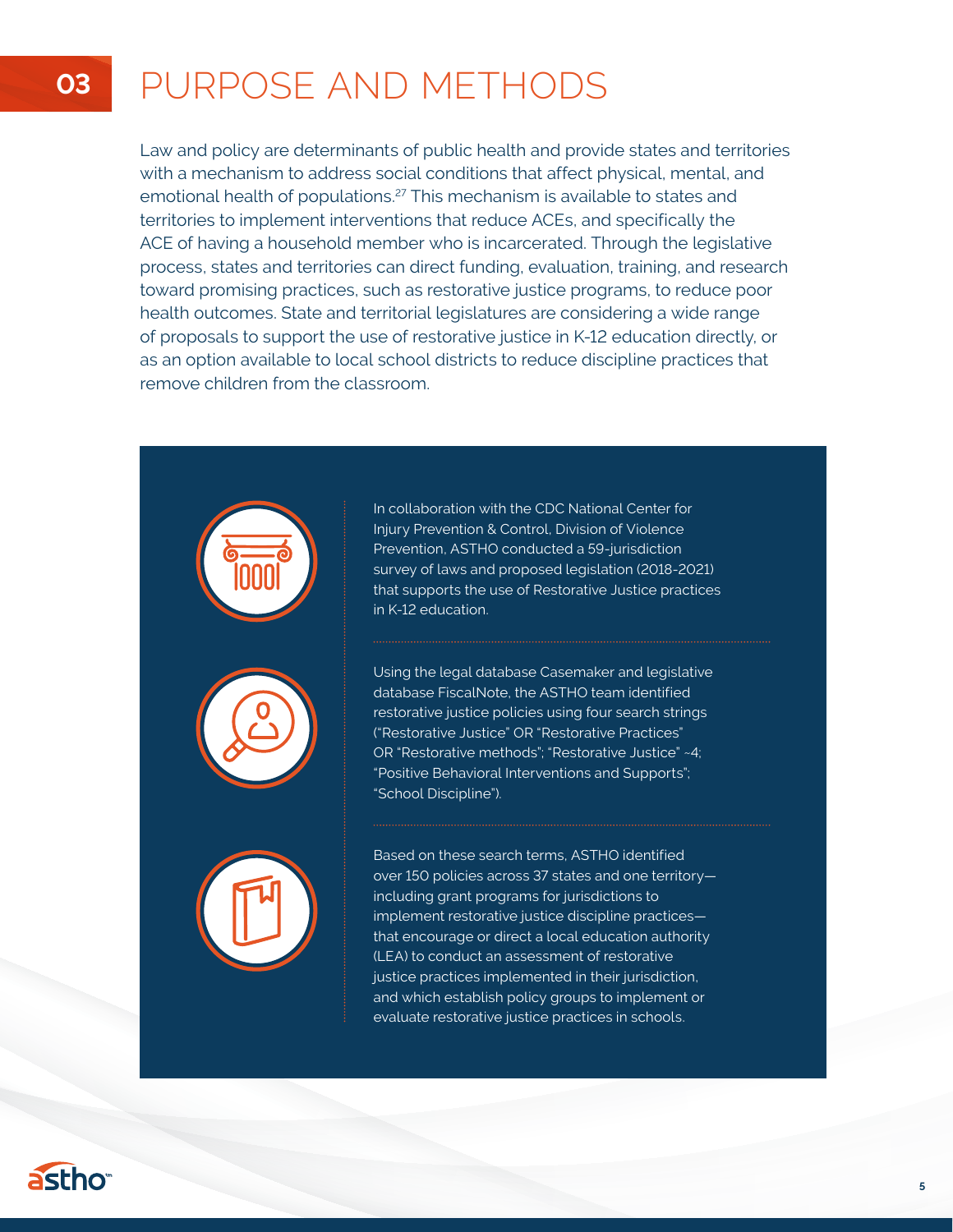## **03** PURPOSE AND METHODS

Law and policy are determinants of public health and provide states and territories with a mechanism to address social conditions that affect physical, mental, and emotional health of populations.<sup>27</sup> This mechanism is available to states and territories to implement interventions that reduce ACEs, and specifically the ACE of having a household member who is incarcerated. Through the legislative process, states and territories can direct funding, evaluation, training, and research toward promising practices, such as restorative justice programs, to reduce poor health outcomes. State and territorial legislatures are considering a wide range of proposals to support the use of restorative justice in K-12 education directly, or as an option available to local school districts to reduce discipline practices that remove children from the classroom.



In collaboration with the CDC National Center for Injury Prevention & Control, Division of Violence Prevention, ASTHO conducted a 59-jurisdiction survey of laws and proposed legislation (2018-2021) that supports the use of Restorative Justice practices in K-12 education.

Using the legal database Casemaker and legislative database FiscalNote, the ASTHO team identified restorative justice policies using four search strings ("Restorative Justice" OR "Restorative Practices" OR "Restorative methods"; "Restorative Justice" ~4; "Positive Behavioral Interventions and Supports"; "School Discipline").

Based on these search terms, ASTHO identified over 150 policies across 37 states and one territory including grant programs for jurisdictions to implement restorative justice discipline practices that encourage or direct a local education authority (LEA) to conduct an assessment of restorative justice practices implemented in their jurisdiction, and which establish policy groups to implement or evaluate restorative justice practices in schools.



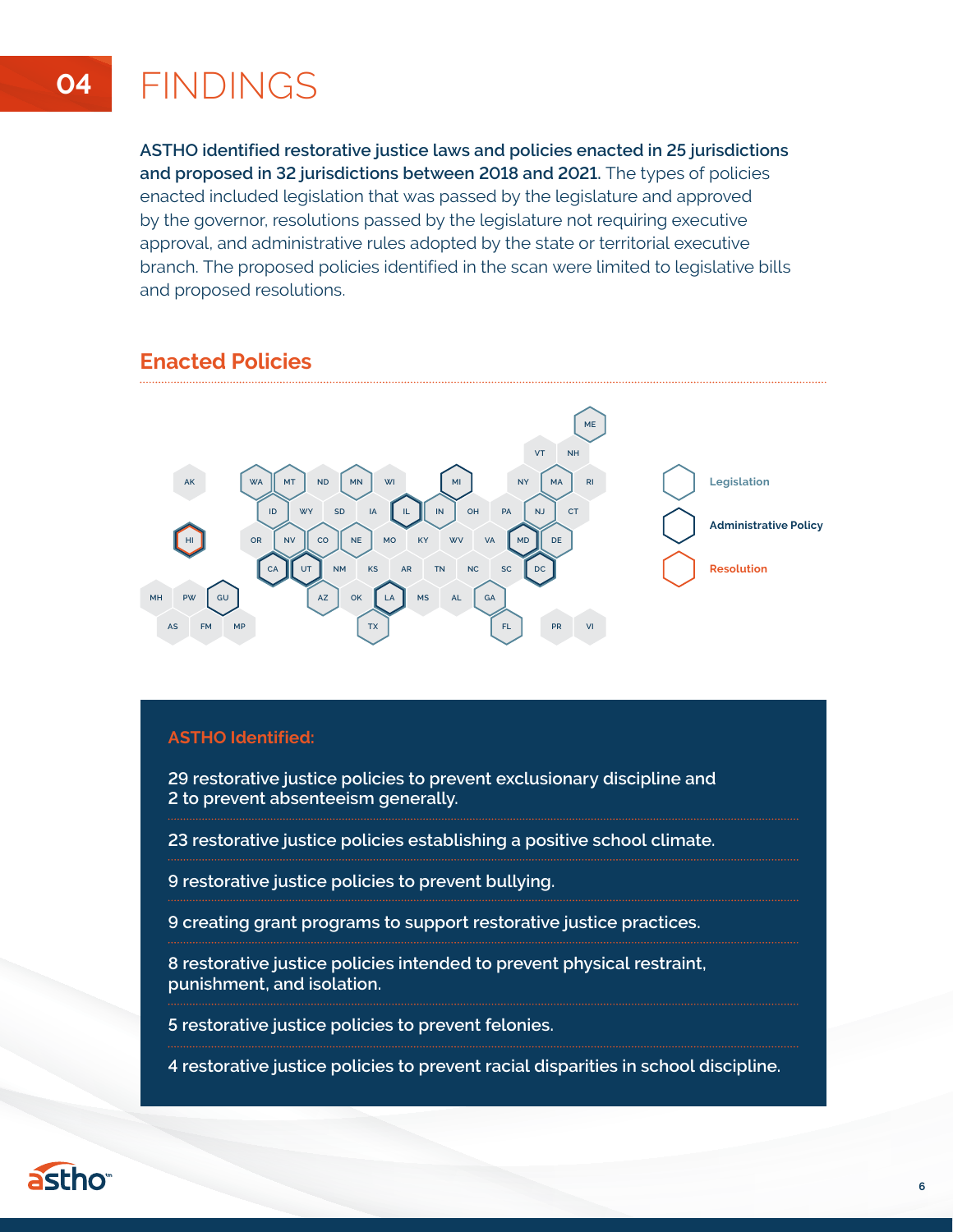## **04** FINDINGS

**ASTHO identified restorative justice laws and policies enacted in 25 jurisdictions and proposed in 32 jurisdictions between 2018 and 2021.** The types of policies enacted included legislation that was passed by the legislature and approved by the governor, resolutions passed by the legislature not requiring executive approval, and administrative rules adopted by the state or territorial executive branch. The proposed policies identified in the scan were limited to legislative bills and proposed resolutions.

## **Enacted Policies**



### **ASTHO Identified:**

**29 restorative justice policies to prevent exclusionary discipline and 2 to prevent absenteeism generally.** 

**23 restorative justice policies establishing a positive school climate.** 

**9 restorative justice policies to prevent bullying.** 

**9 creating grant programs to support restorative justice practices.** 

**8 restorative justice policies intended to prevent physical restraint, punishment, and isolation.** 

**5 restorative justice policies to prevent felonies.** 

**4 restorative justice policies to prevent racial disparities in school discipline.**



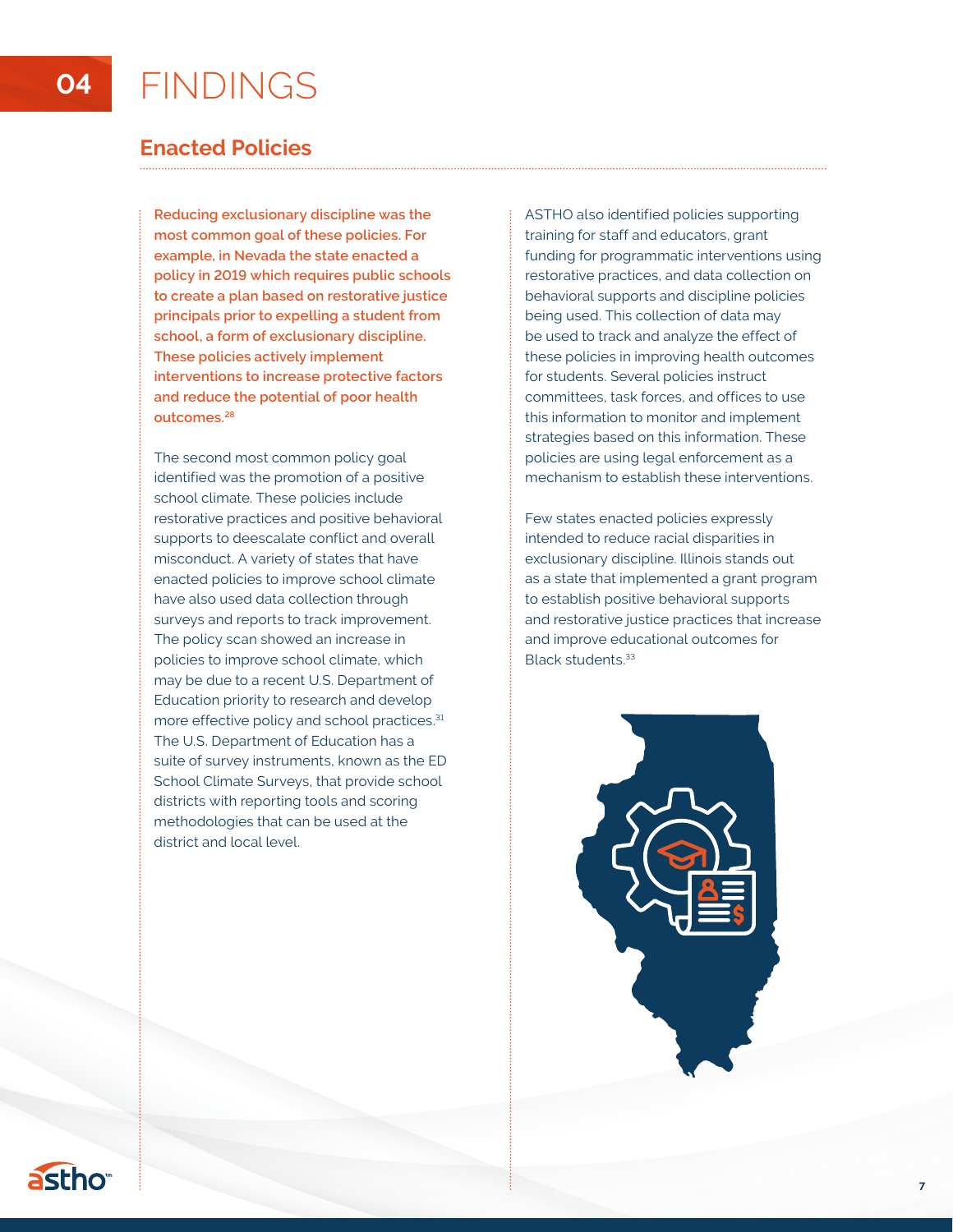## **Enacted Policies**

**Reducing exclusionary discipline was the most common goal of these policies. For example, in Nevada the state enacted a policy in 2019 which requires public schools to create a plan based on restorative justice principals prior to expelling a student from school, a form of exclusionary discipline. These policies actively implement interventions to increase protective factors and reduce the potential of poor health outcomes.28**

The second most common policy goal identified was the promotion of a positive school climate. These policies include restorative practices and positive behavioral supports to deescalate conflict and overall misconduct. A variety of states that have enacted policies to improve school climate have also used data collection through surveys and reports to track improvement. The policy scan showed an increase in policies to improve school climate, which may be due to a recent U.S. Department of Education priority to research and develop more effective policy and school practices.<sup>31</sup> The U.S. Department of Education has a suite of survey instruments, known as the ED School Climate Surveys, that provide school districts with reporting tools and scoring methodologies that can be used at the district and local level.

ASTHO also identified policies supporting training for staff and educators, grant funding for programmatic interventions using restorative practices, and data collection on behavioral supports and discipline policies being used. This collection of data may be used to track and analyze the effect of these policies in improving health outcomes for students. Several policies instruct committees, task forces, and offices to use this information to monitor and implement strategies based on this information. These policies are using legal enforcement as a mechanism to establish these interventions.

Few states enacted policies expressly intended to reduce racial disparities in exclusionary discipline. Illinois stands out as a state that implemented a grant program to establish positive behavioral supports and restorative justice practices that increase and improve educational outcomes for Black students.33

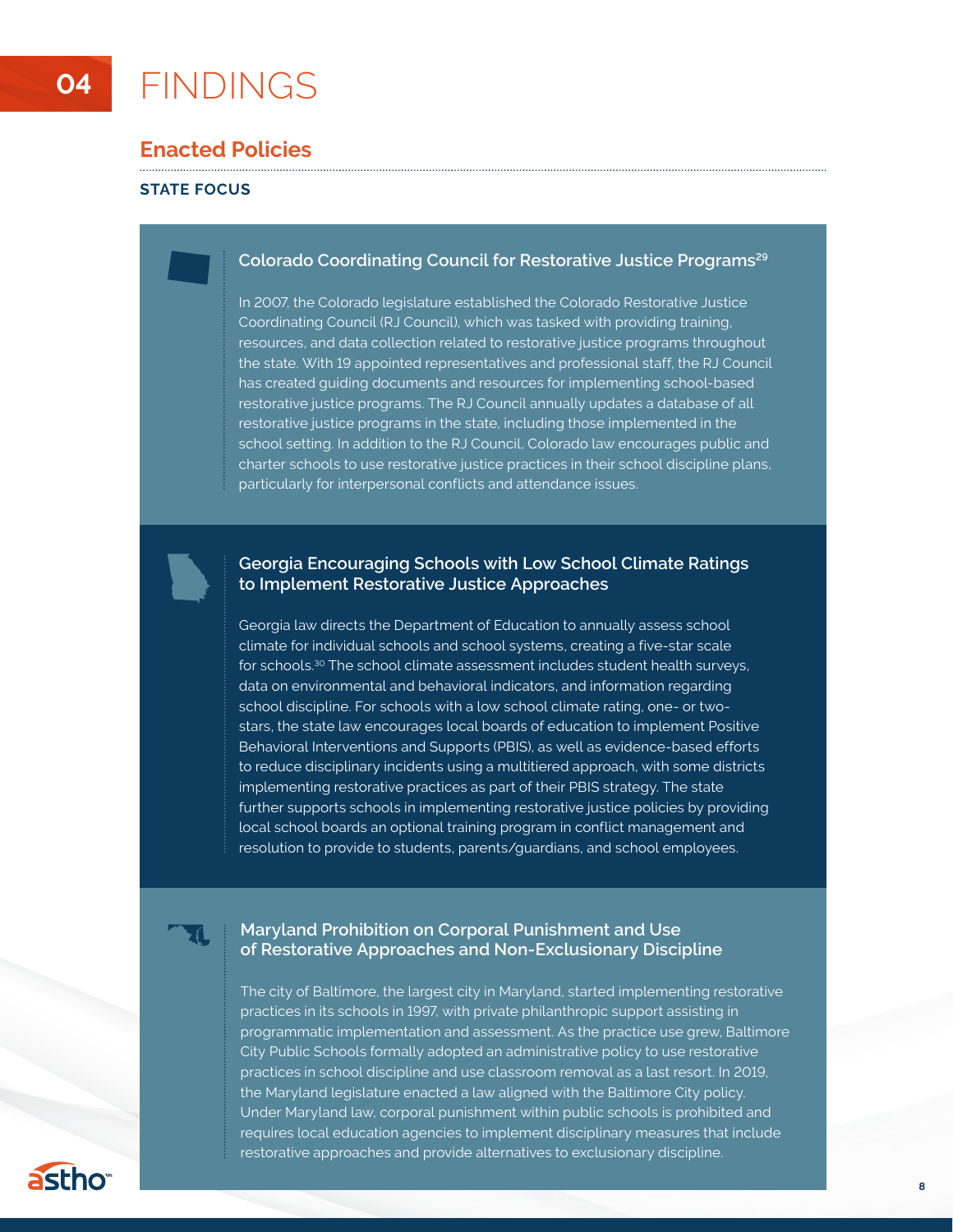## **04** FINDINGS

## **Enacted Policies**

### **STATE FOCUS**

### **Colorado Coordinating Council for Restorative Justice Programs29**

In 2007, the Colorado legislature established the Colorado Restorative Justice Coordinating Council (RJ Council), which was tasked with providing training, resources, and data collection related to restorative justice programs throughout the state. With 19 appointed representatives and professional staff, the RJ Council has created guiding documents and resources for implementing school-based restorative justice programs. The RJ Council annually updates a database of all restorative justice programs in the state, including those implemented in the school setting. In addition to the RJ Council, Colorado law encourages public and charter schools to use restorative justice practices in their school discipline plans, particularly for interpersonal conflicts and attendance issues.

### **Georgia Encouraging Schools with Low School Climate Ratings to Implement Restorative Justice Approaches**

Georgia law directs the Department of Education to annually assess school climate for individual schools and school systems, creating a five-star scale for schools.30 The school climate assessment includes student health surveys, data on environmental and behavioral indicators, and information regarding school discipline. For schools with a low school climate rating, one- or twostars, the state law encourages local boards of education to implement Positive Behavioral Interventions and Supports (PBIS), as well as evidence-based efforts to reduce disciplinary incidents using a multitiered approach, with some districts implementing restorative practices as part of their PBIS strategy. The state further supports schools in implementing restorative justice policies by providing local school boards an optional training program in conflict management and resolution to provide to students, parents/guardians, and school employees.

### **Maryland Prohibition on Corporal Punishment and Use of Restorative Approaches and Non-Exclusionary Discipline**

The city of Baltimore, the largest city in Maryland, started implementing restorative practices in its schools in 1997, with private philanthropic support assisting in programmatic implementation and assessment. As the practice use grew, Baltimore City Public Schools formally adopted an administrative policy to use restorative practices in school discipline and use classroom removal as a last resort. In 2019, the Maryland legislature enacted a law aligned with the Baltimore City policy. Under Maryland law, corporal punishment within public schools is prohibited and requires local education agencies to implement disciplinary measures that include restorative approaches and provide alternatives to exclusionary discipline.

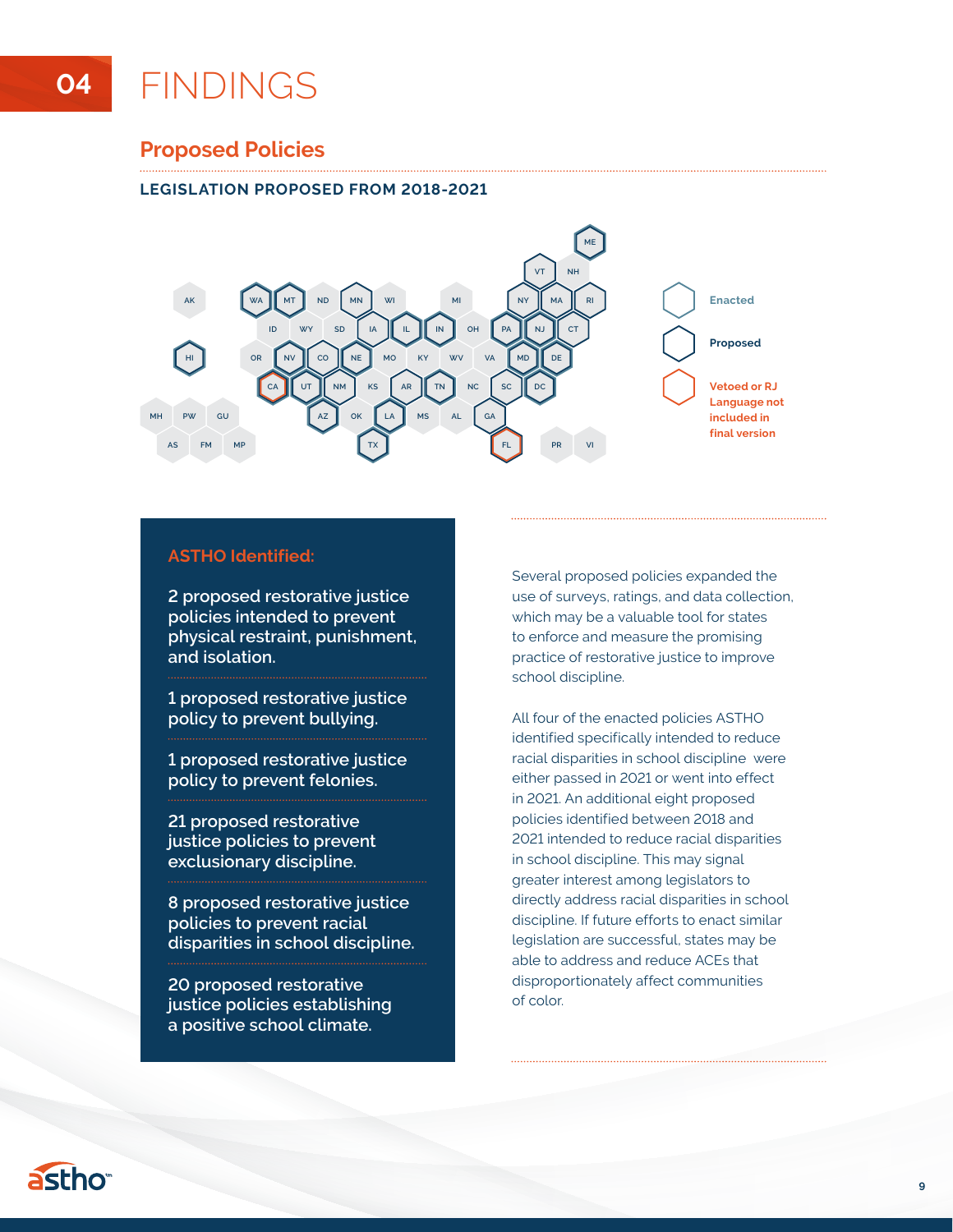### **Proposed Policies**

### **LEGISLATION PROPOSED FROM 2018-2021**



### **ASTHO Identified:**

**2 proposed restorative justice policies intended to prevent physical restraint, punishment, and isolation.** 

**1 proposed restorative justice policy to prevent bullying.** 

**1 proposed restorative justice policy to prevent felonies.** 

**21 proposed restorative justice policies to prevent exclusionary discipline.** 

**8 proposed restorative justice policies to prevent racial disparities in school discipline.** 

**20 proposed restorative justice policies establishing a positive school climate.** 

Several proposed policies expanded the use of surveys, ratings, and data collection, which may be a valuable tool for states to enforce and measure the promising practice of restorative justice to improve school discipline.

All four of the enacted policies ASTHO identified specifically intended to reduce racial disparities in school discipline were either passed in 2021 or went into effect in 2021. An additional eight proposed policies identified between 2018 and 2021 intended to reduce racial disparities in school discipline. This may signal greater interest among legislators to directly address racial disparities in school discipline. If future efforts to enact similar legislation are successful, states may be able to address and reduce ACEs that disproportionately affect communities of color.

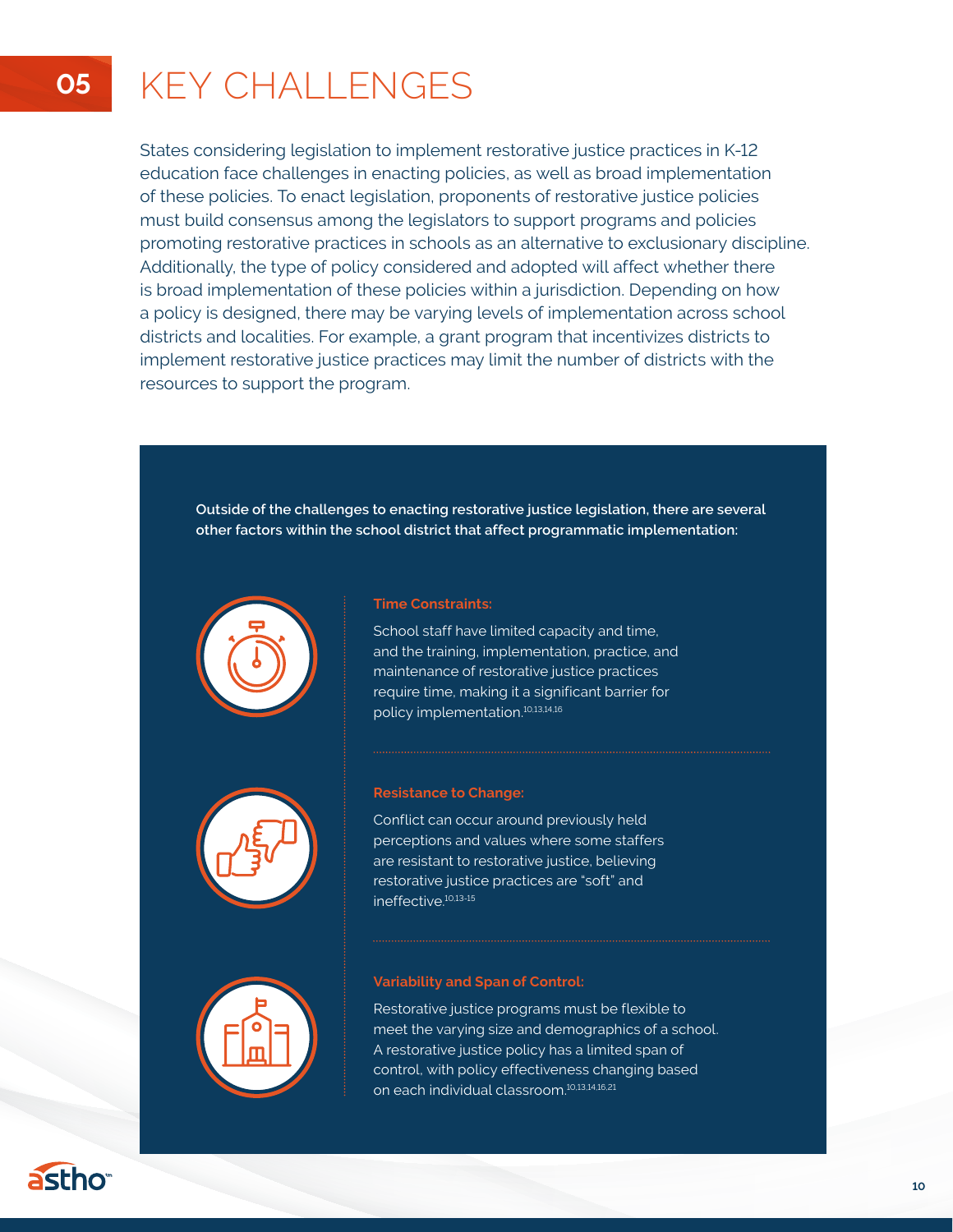## **05** KEY CHALLENGES

States considering legislation to implement restorative justice practices in K-12 education face challenges in enacting policies, as well as broad implementation of these policies. To enact legislation, proponents of restorative justice policies must build consensus among the legislators to support programs and policies promoting restorative practices in schools as an alternative to exclusionary discipline. Additionally, the type of policy considered and adopted will affect whether there is broad implementation of these policies within a jurisdiction. Depending on how a policy is designed, there may be varying levels of implementation across school districts and localities. For example, a grant program that incentivizes districts to implement restorative justice practices may limit the number of districts with the resources to support the program.

**Outside of the challenges to enacting restorative justice legislation, there are several other factors within the school district that affect programmatic implementation:**



### **Time Constraints:**

School staff have limited capacity and time, and the training, implementation, practice, and maintenance of restorative justice practices require time, making it a significant barrier for policy implementation.10,13,14,16



### **Resistance to Change:**

Conflict can occur around previously held perceptions and values where some staffers are resistant to restorative justice, believing restorative justice practices are "soft" and ineffective.10,13-15



### **Variability and Span of Control:**

Restorative justice programs must be flexible to meet the varying size and demographics of a school. A restorative justice policy has a limited span of control, with policy effectiveness changing based on each individual classroom.10,13,14,16,21

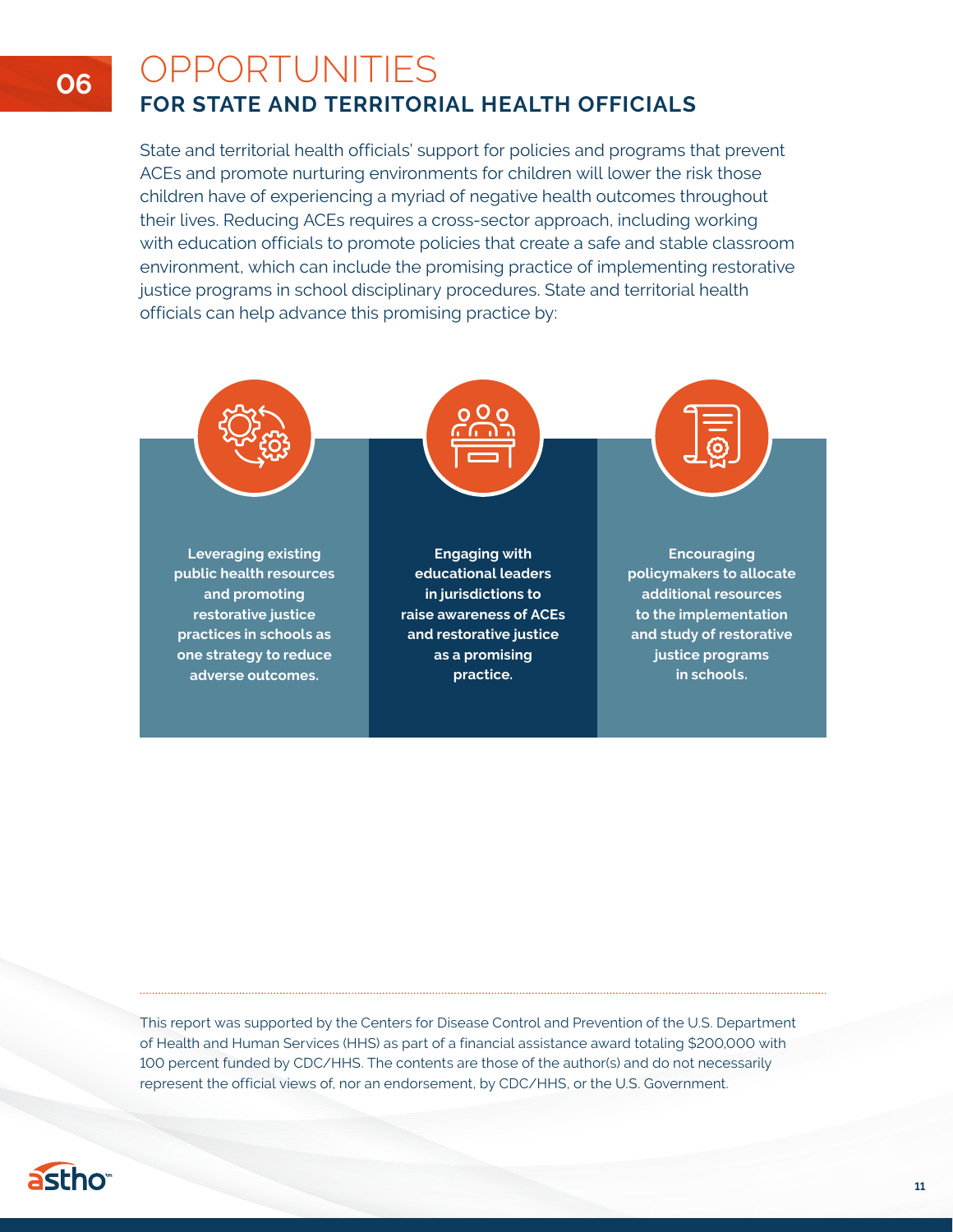## OPPORTUNITIES **FOR STATE AND TERRITORIAL HEALTH OFFICIALS**

State and territorial health officials' support for policies and programs that prevent ACEs and promote nurturing environments for children will lower the risk those children have of experiencing a myriad of negative health outcomes throughout their lives. Reducing ACEs requires a cross-sector approach, including working with education officials to promote policies that create a safe and stable classroom environment, which can include the promising practice of implementing restorative justice programs in school disciplinary procedures. State and territorial health officials can help advance this promising practice by:



This report was supported by the Centers for Disease Control and Prevention of the U.S. Department of Health and Human Services (HHS) as part of a financial assistance award totaling \$200,000 with 100 percent funded by CDC/HHS. The contents are those of the author(s) and do not necessarily represent the official views of, nor an endorsement, by CDC/HHS, or the U.S. Government.



**06**

**11**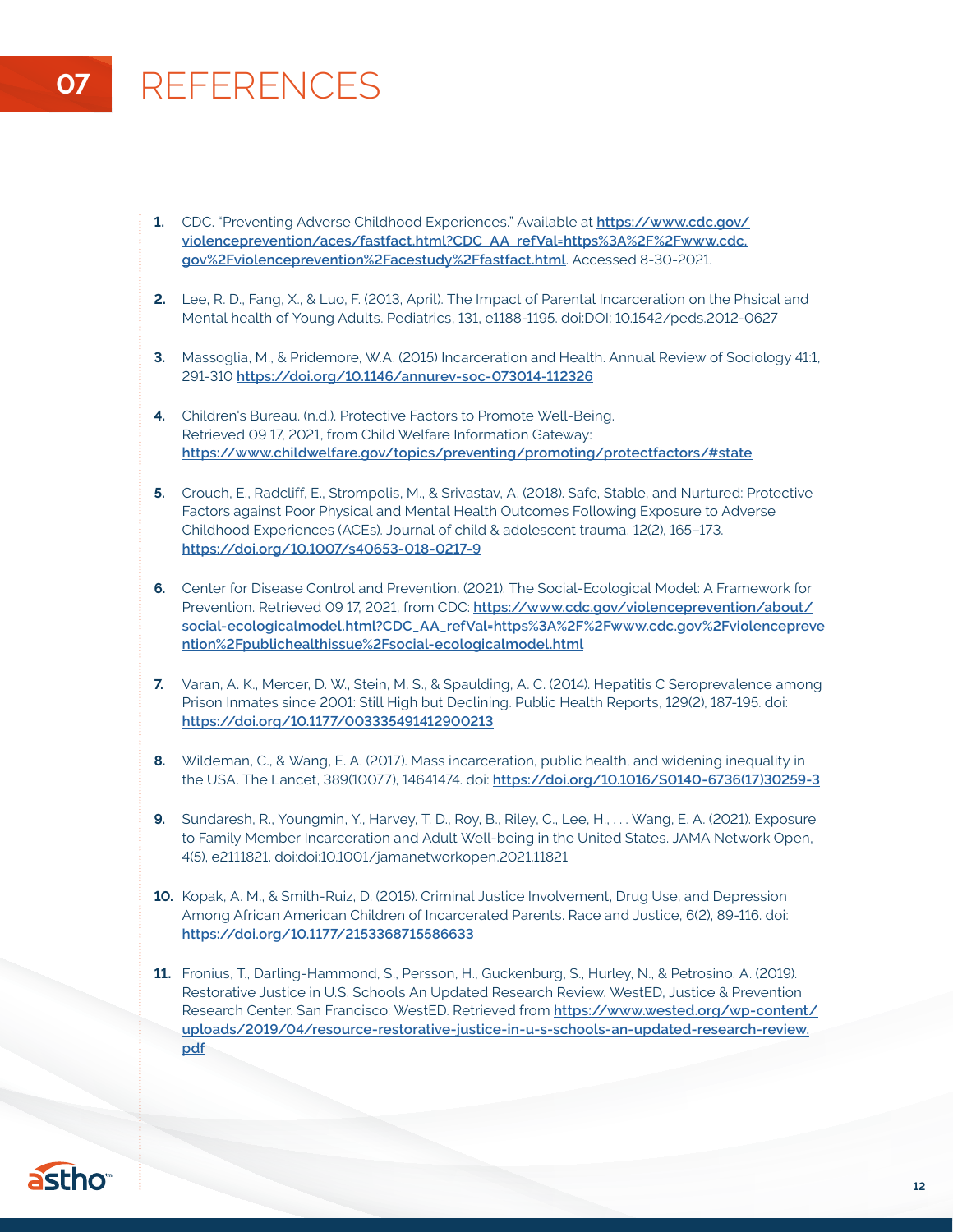## **07** REFERENCES

- **1.** CDC. "Preventing Adverse Childhood Experiences." Available at **[https://www.cdc.gov/](https://www.cdc.gov/violenceprevention/aces/fastfact.html?CDC_AA_refVal=https%3A%2F%2Fwww.cdc.gov%2Fviolenceprevention%2Facestudy%2Ffastfact.html) [violenceprevention/aces/fastfact.html?CDC\\_AA\\_refVal=https%3A%2F%2Fwww.cdc.](https://www.cdc.gov/violenceprevention/aces/fastfact.html?CDC_AA_refVal=https%3A%2F%2Fwww.cdc.gov%2Fviolenceprevention%2Facestudy%2Ffastfact.html) [gov%2Fviolenceprevention%2Facestudy%2Ffastfact.html](https://www.cdc.gov/violenceprevention/aces/fastfact.html?CDC_AA_refVal=https%3A%2F%2Fwww.cdc.gov%2Fviolenceprevention%2Facestudy%2Ffastfact.html)**. Accessed 8-30-2021.
- **2.** Lee, R. D., Fang, X., & Luo, F. (2013, April). The Impact of Parental Incarceration on the Phsical and Mental health of Young Adults. Pediatrics, 131, e1188-1195. doi:DOI: 10.1542/peds.2012-0627
- **3.** Massoglia, M., & Pridemore, W.A. (2015) Incarceration and Health. Annual Review of Sociology 41:1, 291-310 **<https://doi.org/10.1146/annurev-soc-073014-112326>**
- **4.** Children's Bureau. (n.d.). Protective Factors to Promote Well-Being. Retrieved 09 17, 2021, from Child Welfare Information Gateway: **<https://www.childwelfare.gov/topics/preventing/promoting/protectfactors/#state>**
- **5.** Crouch, E., Radcliff, E., Strompolis, M., & Srivastav, A. (2018). Safe, Stable, and Nurtured: Protective Factors against Poor Physical and Mental Health Outcomes Following Exposure to Adverse Childhood Experiences (ACEs). Journal of child & adolescent trauma, 12(2), 165–173. **<https://doi.org/10.1007/s40653-018-0217-9>**
- **6.** Center for Disease Control and Prevention. (2021). The Social-Ecological Model: A Framework for Prevention. Retrieved 09 17, 2021, from CDC: [https://www.cdc.gov/violenceprevention/about/](https://www.cdc.gov/violenceprevention/about/social-ecologicalmodel.html?CDC_AA_refVal=https%3A%2F%2Fwww.cdc.gov%2Fviolenceprevention%2Fpublichealthissue%2Fsocial-ecologicalmodel.html) **[social-ecologicalmodel.html?CDC\\_AA\\_refVal=https%3A%2F%2Fwww.cdc.gov%2Fviolencepreve](https://www.cdc.gov/violenceprevention/about/social-ecologicalmodel.html?CDC_AA_refVal=https%3A%2F%2Fwww.cdc.gov%2Fviolenceprevention%2Fpublichealthissue%2Fsocial-ecologicalmodel.html) [ntion%2Fpublichealthissue%2Fsocial-ecologicalmodel.html](https://www.cdc.gov/violenceprevention/about/social-ecologicalmodel.html?CDC_AA_refVal=https%3A%2F%2Fwww.cdc.gov%2Fviolenceprevention%2Fpublichealthissue%2Fsocial-ecologicalmodel.html)**
- **7.** Varan, A. K., Mercer, D. W., Stein, M. S., & Spaulding, A. C. (2014). Hepatitis C Seroprevalence among Prison Inmates since 2001: Still High but Declining. Public Health Reports, 129(2), 187-195. doi: **<https://doi.org/10.1177/003335491412900213>**
- **8.** Wildeman, C., & Wang, E. A. (2017). Mass incarceration, public health, and widening inequality in the USA. The Lancet, 389(10077), 14641474. doi: **[https://doi.org/10.1016/S0140-6736\(17\)30259-3](https://doi.org/10.1016/S0140-6736(17)30259-3)**
- **9.** Sundaresh, R., Youngmin, Y., Harvey, T. D., Roy, B., Riley, C., Lee, H., . . . Wang, E. A. (2021). Exposure to Family Member Incarceration and Adult Well-being in the United States. JAMA Network Open, 4(5), e2111821. doi:doi:10.1001/jamanetworkopen.2021.11821
- **10.** Kopak, A. M., & Smith-Ruiz, D. (2015). Criminal Justice Involvement, Drug Use, and Depression Among African American Children of Incarcerated Parents. Race and Justice, 6(2), 89-116. doi: **<https://doi.org/10.1177/2153368715586633>**
- **11.** Fronius, T., Darling-Hammond, S., Persson, H., Guckenburg, S., Hurley, N., & Petrosino, A. (2019). Restorative Justice in U.S. Schools An Updated Research Review. WestED, Justice & Prevention Research Center. San Francisco: WestED. Retrieved from **[https://www.wested.org/wp-content/](https://www.wested.org/wp-content/uploads/2019/04/resource-restorative-justice-in-u-s-schools-an-updated-research-review.pdf) [uploads/2019/04/resource-restorative-justice-in-u-s-schools-an-updated-research-review.](https://www.wested.org/wp-content/uploads/2019/04/resource-restorative-justice-in-u-s-schools-an-updated-research-review.pdf) [pdf](https://www.wested.org/wp-content/uploads/2019/04/resource-restorative-justice-in-u-s-schools-an-updated-research-review.pdf)**

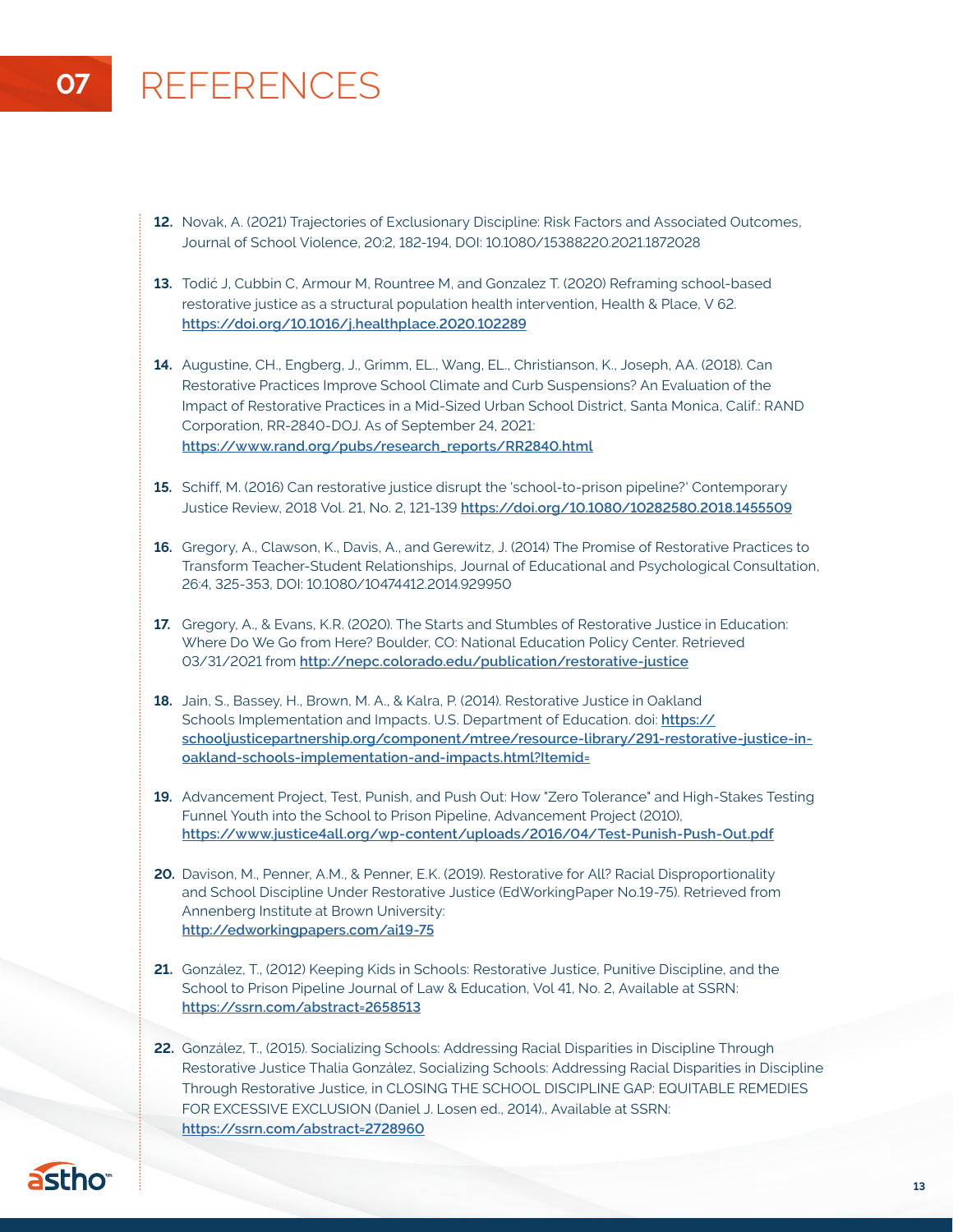## **07** REFERENCES

- **12.** Novak, A. (2021) Trajectories of Exclusionary Discipline: Risk Factors and Associated Outcomes, Journal of School Violence, 20:2, 182-194, DOI: 10.1080/15388220.2021.1872028
- **13.** Todić J, Cubbin C, Armour M, Rountree M, and Gonzalez T. (2020) Reframing school-based restorative justice as a structural population health intervention, Health & Place, V 62. **<https://doi.org/10.1016/j.healthplace.2020.102289>**
- **14.** Augustine, CH., Engberg, J., Grimm, EL., Wang, EL., Christianson, K., Joseph, AA. (2018). Can Restorative Practices Improve School Climate and Curb Suspensions? An Evaluation of the Impact of Restorative Practices in a Mid-Sized Urban School District, Santa Monica, Calif.: RAND Corporation, RR-2840-DOJ. As of September 24, 2021: **[https://www.rand.org/pubs/research\\_reports/RR2840.html](https://www.rand.org/pubs/research_reports/RR2840.html)**
- **15.** Schiff, M. (2016) Can restorative justice disrupt the 'school-to-prison pipeline?' Contemporary Justice Review, 2018 Vol. 21, No. 2, 121-139 **<https://doi.org/10.1080/10282580.2018.1455509>**
- **16.** Gregory, A., Clawson, K., Davis, A., and Gerewitz, J. (2014) The Promise of Restorative Practices to Transform Teacher-Student Relationships, Journal of Educational and Psychological Consultation, 26:4, 325-353, DOI: 10.1080/10474412.2014.929950
- **17.** Gregory, A., & Evans, K.R. (2020). The Starts and Stumbles of Restorative Justice in Education: Where Do We Go from Here? Boulder, CO: National Education Policy Center. Retrieved 03/31/2021 from **<http://nepc.colorado.edu/publication/restorative-justice>**
- **18.** Jain, S., Bassey, H., Brown, M. A., & Kalra, P. (2014). Restorative Justice in Oakland Schools Implementation and Impacts. U.S. Department of Education. doi: **[https://](https://schooljusticepartnership.org/component/mtree/resource-library/291-restorative-justice-in-oakland-schools-implementation-and-impacts.html?Itemid=) [schooljusticepartnership.org/component/mtree/resource-library/291-restorative-justice-in](https://schooljusticepartnership.org/component/mtree/resource-library/291-restorative-justice-in-oakland-schools-implementation-and-impacts.html?Itemid=)[oakland-schools-implementation-and-impacts.html?Itemid=](https://schooljusticepartnership.org/component/mtree/resource-library/291-restorative-justice-in-oakland-schools-implementation-and-impacts.html?Itemid=)**
- **19.** Advancement Project, Test, Punish, and Push Out: How "Zero Tolerance" and High-Stakes Testing Funnel Youth into the School to Prison Pipeline, Advancement Project (2010), **[https://www.justice4all.org/wp-content/uploads/2016/04/Test-Punish-Push-Out.pdf](https://www.justice4all.org/wp-content/uploads/2016/04/Test-Punish-Push-Out.pdf    )**
- **20.** Davison, M., Penner, A.M., & Penner, E.K. (2019). Restorative for All? Racial Disproportionality and School Discipline Under Restorative Justice (EdWorkingPaper No.19-75). Retrieved from Annenberg Institute at Brown University: **<http://edworkingpapers.com/ai19-75>**
- **21.** González, T., (2012) Keeping Kids in Schools: Restorative Justice, Punitive Discipline, and the School to Prison Pipeline Journal of Law & Education, Vol 41, No. 2, Available at SSRN: **<https://ssrn.com/abstract=2658513>**
- **22.** González, T., (2015). Socializing Schools: Addressing Racial Disparities in Discipline Through Restorative Justice Thalia González, Socializing Schools: Addressing Racial Disparities in Discipline Through Restorative Justice, in CLOSING THE SCHOOL DISCIPLINE GAP: EQUITABLE REMEDIES FOR EXCESSIVE EXCLUSION (Daniel J. Losen ed., 2014)., Available at SSRN: **<https://ssrn.com/abstract=2728960>**